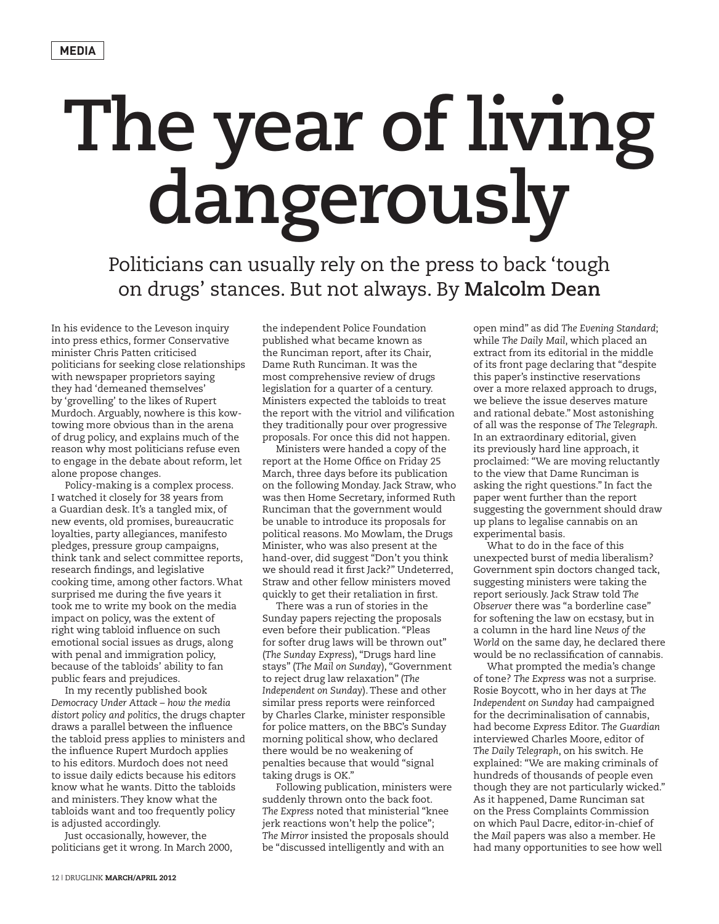## **The year of living dangerously**

Politicians can usually rely on the press to back 'tough on drugs' stances. But not always. By **Malcolm Dean**

In his evidence to the Leveson inquiry into press ethics, former Conservative minister Chris Patten criticised politicians for seeking close relationships with newspaper proprietors saying they had 'demeaned themselves' by 'grovelling' to the likes of Rupert Murdoch. Arguably, nowhere is this kowtowing more obvious than in the arena of drug policy, and explains much of the reason why most politicians refuse even to engage in the debate about reform, let alone propose changes.

Policy-making is a complex process. I watched it closely for 38 years from a Guardian desk. It's a tangled mix, of new events, old promises, bureaucratic loyalties, party allegiances, manifesto pledges, pressure group campaigns, think tank and select committee reports, research findings, and legislative cooking time, among other factors. What surprised me during the five years it took me to write my book on the media impact on policy, was the extent of right wing tabloid influence on such emotional social issues as drugs, along with penal and immigration policy, because of the tabloids' ability to fan public fears and prejudices.

In my recently published book *Democracy Under Attack – how the media distort policy and politics*, the drugs chapter draws a parallel between the influence the tabloid press applies to ministers and the influence Rupert Murdoch applies to his editors. Murdoch does not need to issue daily edicts because his editors know what he wants. Ditto the tabloids and ministers. They know what the tabloids want and too frequently policy is adjusted accordingly.

Just occasionally, however, the politicians get it wrong. In March 2000,

the independent Police Foundation published what became known as the Runciman report, after its Chair, Dame Ruth Runciman. It was the most comprehensive review of drugs legislation for a quarter of a century. Ministers expected the tabloids to treat the report with the vitriol and vilification they traditionally pour over progressive proposals. For once this did not happen.

Ministers were handed a copy of the report at the Home Office on Friday 25 March, three days before its publication on the following Monday. Jack Straw, who was then Home Secretary, informed Ruth Runciman that the government would be unable to introduce its proposals for political reasons. Mo Mowlam, the Drugs Minister, who was also present at the hand-over, did suggest "Don't you think we should read it first Jack?" Undeterred, Straw and other fellow ministers moved quickly to get their retaliation in first.

There was a run of stories in the Sunday papers rejecting the proposals even before their publication. "Pleas for softer drug laws will be thrown out" (*The Sunday Express*), "Drugs hard line stays" (*The Mail on Sunday*), "Government to reject drug law relaxation" (*The Independent on Sunday*). These and other similar press reports were reinforced by Charles Clarke, minister responsible for police matters, on the BBC's Sunday morning political show, who declared there would be no weakening of penalties because that would "signal taking drugs is OK."

Following publication, ministers were suddenly thrown onto the back foot. *The Express* noted that ministerial "knee jerk reactions won't help the police"; *The Mirror* insisted the proposals should be "discussed intelligently and with an

open mind" as did *The Evening Standard*; while *The Daily Mail*, which placed an extract from its editorial in the middle of its front page declaring that "despite this paper's instinctive reservations over a more relaxed approach to drugs, we believe the issue deserves mature and rational debate." Most astonishing of all was the response of *The Telegraph*. In an extraordinary editorial, given its previously hard line approach, it proclaimed: "We are moving reluctantly to the view that Dame Runciman is asking the right questions." In fact the paper went further than the report suggesting the government should draw up plans to legalise cannabis on an experimental basis.

What to do in the face of this unexpected burst of media liberalism? Government spin doctors changed tack, suggesting ministers were taking the report seriously. Jack Straw told *The Observer* there was "a borderline case" for softening the law on ecstasy, but in a column in the hard line *News of the World* on the same day, he declared there would be no reclassification of cannabis.

What prompted the media's change of tone? *The Express* was not a surprise. Rosie Boycott, who in her days at *The Independent on Sunday* had campaigned for the decriminalisation of cannabis, had become *Express* Editor. *The Guardian*  interviewed Charles Moore, editor of *The Daily Telegraph*, on his switch. He explained: "We are making criminals of hundreds of thousands of people even though they are not particularly wicked." As it happened, Dame Runciman sat on the Press Complaints Commission on which Paul Dacre, editor-in-chief of the *Mail* papers was also a member. He had many opportunities to see how well